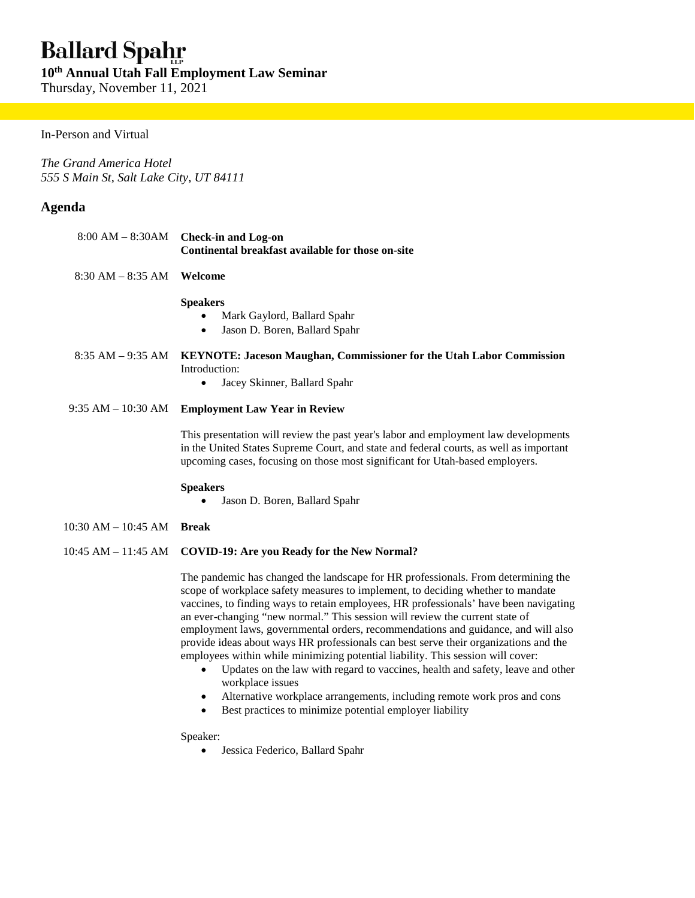# **Ballard Spahr**

**10th Annual Utah Fall Employment Law Seminar** 

Thursday, November 11, 2021

## In-Person and Virtual

*The Grand America Hotel 555 S Main St, Salt Lake City, UT 84111* 

## **Agenda**

|                         | $8:00 AM - 8:30AM$ Check-in and Log-on<br>Continental breakfast available for those on-site                                                                                                                                                                   |
|-------------------------|---------------------------------------------------------------------------------------------------------------------------------------------------------------------------------------------------------------------------------------------------------------|
| $8:30$ AM $-8:35$ AM    | Welcome                                                                                                                                                                                                                                                       |
|                         | <b>Speakers</b><br>Mark Gaylord, Ballard Spahr<br>٠<br>Jason D. Boren, Ballard Spahr<br>$\bullet$                                                                                                                                                             |
| $8:35$ AM $-9:35$ AM    | <b>KEYNOTE: Jaceson Maughan, Commissioner for the Utah Labor Commission</b><br>Introduction:                                                                                                                                                                  |
|                         | Jacey Skinner, Ballard Spahr<br>$\bullet$                                                                                                                                                                                                                     |
| $9:35$ AM $-10:30$ AM   | <b>Employment Law Year in Review</b>                                                                                                                                                                                                                          |
|                         | This presentation will review the past year's labor and employment law developments<br>in the United States Supreme Court, and state and federal courts, as well as important<br>upcoming cases, focusing on those most significant for Utah-based employers. |
|                         | <b>Speakers</b><br>Jason D. Boren, Ballard Spahr                                                                                                                                                                                                              |
| $10:30$ AM $- 10:45$ AM | <b>Break</b>                                                                                                                                                                                                                                                  |
|                         | 10:45 AM - 11:45 AM COVID-19: Are you Ready for the New Normal?                                                                                                                                                                                               |

The pandemic has changed the landscape for HR professionals. From determining the scope of workplace safety measures to implement, to deciding whether to mandate vaccines, to finding ways to retain employees, HR professionals' have been navigating an ever-changing "new normal." This session will review the current state of employment laws, governmental orders, recommendations and guidance, and will also provide ideas about ways HR professionals can best serve their organizations and the employees within while minimizing potential liability. This session will cover:

- Updates on the law with regard to vaccines, health and safety, leave and other workplace issues
- Alternative workplace arrangements, including remote work pros and cons
- Best practices to minimize potential employer liability

Speaker:

Jessica Federico, Ballard Spahr